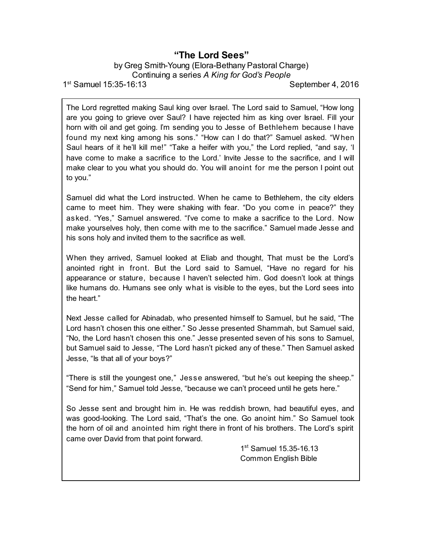## **"The Lord Sees"** by Greg Smith-Young (Elora-Bethany Pastoral Charge) Continuing a series *A King for God's People*

1st Samuel 15:35-16:13

September 4, 2016

The Lord regretted making Saul king over Israel. The Lord said to Samuel, "How long are you going to grieve over Saul? I have rejected him as king over Israel. Fill your horn with oil and get going. I'm sending you to Jesse of Bethlehem because I have found my next king among his sons." "How can I do that?" Samuel asked. "When Saul hears of it he'll kill me!" "Take a heifer with you," the Lord replied, "and say, 'I have come to make a sacrifice to the Lord.' Invite Jesse to the sacrifice, and I will make clear to you what you should do. You will anoint for me the person I point out to you."

Samuel did what the Lord instructed. When he came to Bethlehem, the city elders came to meet him. They were shaking with fear. "Do you come in peace?" they asked. "Yes," Samuel answered. "I've come to make a sacrifice to the Lord. Now make yourselves holy, then come with me to the sacrifice." Samuel made Jesse and his sons holy and invited them to the sacrifice as well.

When they arrived, Samuel looked at Eliab and thought, That must be the Lord's anointed right in front. But the Lord said to Samuel, "Have no regard for his appearance or stature, because I haven't selected him. God doesn't look at things like humans do. Humans see only what is visible to the eyes, but the Lord sees into the heart."

Next Jesse called for Abinadab, who presented himself to Samuel, but he said, "The Lord hasn't chosen this one either." So Jesse presented Shammah, but Samuel said, "No, the Lord hasn't chosen this one." Jesse presented seven of his sons to Samuel, but Samuel said to Jesse, "The Lord hasn't picked any of these." Then Samuel asked Jesse, "Is that all of your boys?"

"There is still the youngest one," Jesse answered, "but he's out keeping the sheep." "Send for him," Samuel told Jesse, "because we can't proceed until he gets here."

So Jesse sent and brought him in. He was reddish brown, had beautiful eyes, and was good-looking. The Lord said, "That's the one. Go anoint him." So Samuel took the horn of oil and anointed him right there in front of his brothers. The Lord's spirit came over David from that point forward.

> 1 st Samuel 15.35-16.13 Common English Bible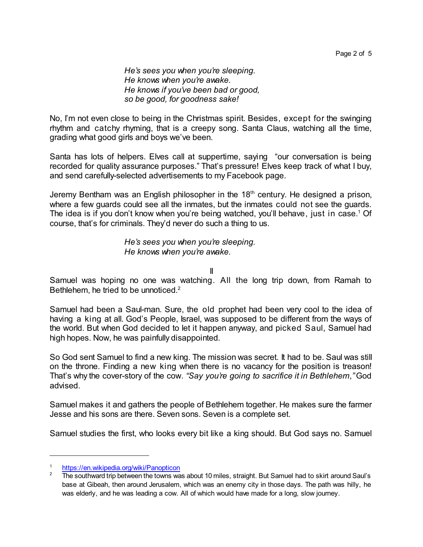*He's sees you when you're sleeping. He knows when you're awake. He knows if you've been bad or good, so be good, for goodness sake!*

No, I'm not even close to being in the Christmas spirit. Besides, except for the swinging rhythm and catchy rhyming, that is a creepy song. Santa Claus, watching all the time, grading what good girls and boys we've been.

Santa has lots of helpers. Elves call at suppertime, saying "our conversation is being recorded for quality assurance purposes." That's pressure! Elves keep track of what I buy, and send carefully-selected advertisements to my Facebook page.

Jeremy Bentham was an English philosopher in the  $18<sup>th</sup>$  century. He designed a prison, where a few guards could see all the inmates, but the inmates could not see the guards. The idea is if you don't know when you're being watched, you'll behave, just in case.<sup>1</sup> Of course, that's for criminals. They'd never do such a thing to us.

> *He's sees you when you're sleeping. He knows when you're awake.*

> > II

Samuel was hoping no one was watching. All the long trip down, from Ramah to Bethlehem, he tried to be unnoticed. $2$ 

Samuel had been a Saul-man. Sure, the old prophet had been very cool to the idea of having a king at all. God's People, Israel, was supposed to be different from the ways of the world. But when God decided to let it happen anyway, and picked Saul, Samuel had high hopes. Now, he was painfully disappointed.

So God sent Samuel to find a new king. The mission was secret. It had to be. Saul was still on the throne. Finding a new king when there is no vacancy for the position is treason! That's why the cover-story of the cow. *"Say you're going to sacrifice it in Bethlehem,"* God advised.

Samuel makes it and gathers the people of Bethlehem together. He makes sure the farmer Jesse and his sons are there. Seven sons. Seven is a complete set.

Samuel studies the first, who looks every bit like a king should. But God says no. Samuel

<https://en.wikipedia.org/wiki/Panopticon>

<sup>2</sup> The southward trip between the towns was about 10 miles, straight. But Samuel had to skirt around Saul's base at Gibeah, then around Jerusalem, which was an enemy city in those days. The path was hilly, he was elderly, and he was leading a cow. All of which would have made for a long, slow journey.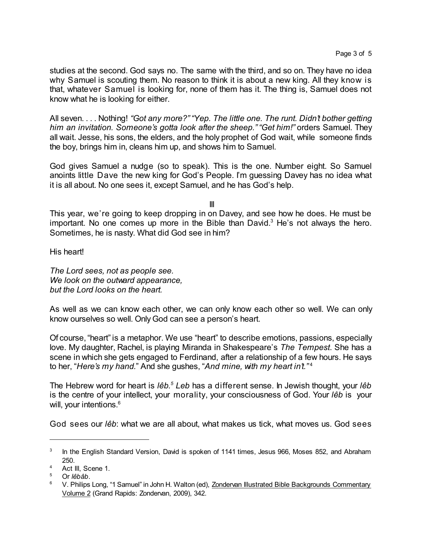studies at the second. God says no. The same with the third, and so on. They have no idea why Samuel is scouting them. No reason to think it is about a new king. All they know is that, whatever Samuel is looking for, none of them has it. The thing is, Samuel does not know what he is looking for either.

All seven. . . . Nothing! *"Got any more?" "Yep. The little one. The runt. Didn't bother getting him an invitation. Someone's gotta look after the sheep." "Get him!"* orders Samuel. They all wait. Jesse, his sons, the elders, and the holy prophet of God wait, while someone finds the boy, brings him in, cleans him up, and shows him to Samuel.

God gives Samuel a nudge (so to speak). This is the one. Number eight. So Samuel anoints little Dave the new king for God's People. I'm guessing Davey has no idea what it is all about. No one sees it, except Samuel, and he has God's help.

III

This year, we're going to keep dropping in on Davey, and see how he does. He must be important. No one comes up more in the Bible than David.<sup>3</sup> He's not always the hero. Sometimes, he is nasty. What did God see in him?

His heart!

*The Lord sees, not as people see. We look on the outward appearance, but the Lord looks on the heart.*

As well as we can know each other, we can only know each other so well. We can only know ourselves so well. Only God can see a person's heart.

Of course,"heart"is a metaphor. We use "heart" to describe emotions, passions, especially love. My daughter, Rachel, is playing Miranda in Shakespeare's *The Tempest*. She has a scene in which she gets engaged to Ferdinand, after a relationship of a few hours. He says to her, "*Here's my hand.*" And she gushes, "*And mine, with my heart in't."* 4

The Hebrew word for heart is *lêb.<sup>5</sup> Leb* has a different sense. In Jewish thought, your *lêb* is the centre of your intellect, your morality, your consciousness of God. Your *lêb* is your will, your intentions.<sup>6</sup>

God sees our *lêb*: what we are all about, what makes us tick, what moves us. God sees

<sup>3</sup> In the English Standard Version, David is spoken of 1141 times, Jesus 966, Moses 852, and Abraham 250.

<sup>&</sup>lt;sup>4</sup> Act III, Scene 1.

<sup>5</sup> Or *lêbâb*.

<sup>&</sup>lt;sup>6</sup> V. Philips Long, "1 Samuel" in John H. Walton (ed), Zondervan Illustrated Bible Backgrounds Commentary Volume 2 (Grand Rapids: Zondervan, 2009), 342.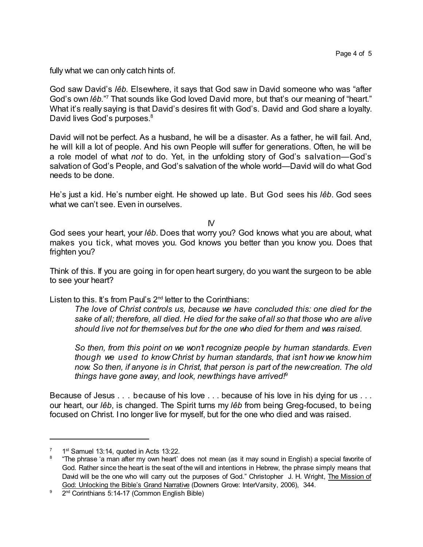fully what we can only catch hints of.

God saw David's *lêb.* Elsewhere, it says that God saw in David someone who was "after God's own *lêb.*"<sup>7</sup> That sounds like God loved David more, but that's our meaning of "heart." What it's really saying is that David's desires fit with God's. David and God share a loyalty. David lives God's purposes.<sup>8</sup>

David will not be perfect. As a husband, he will be a disaster. As a father, he will fail. And, he will kill a lot of people. And his own People will suffer for generations. Often, he will be a role model of what *not* to do. Yet, in the unfolding story of God's salvation—God's salvation of God's People, and God's salvation of the whole world—David will do what God needs to be done.

He's just a kid. He's number eight. He showed up late. But God sees his *lêb*. God sees what we can't see. Even in ourselves.

IV

God sees your heart, your *lêb*. Does that worry you? God knows what you are about, what makes you tick, what moves you. God knows you better than you know you. Does that frighten you?

Think of this. If you are going in for open heart surgery, do you want the surgeon to be able to see your heart?

Listen to this. It's from Paul's  $2<sup>nd</sup>$  letter to the Corinthians:

*The love of Christ controls us, because we have concluded this: one died for the sake of all; therefore, all died. He died for the sake of all so that those who are alive should live not for themselves but for the one who died for them and was raised.*

*So then, from this point on we won't recognize people by human standards. Even though we used to know Christ by human standards, that isn't how we know him now. So then, if anyone is in Christ, that person is part of the newcreation. The old things have gone away, and look, newthings have arrived!*<sup>9</sup>

Because of Jesus . . . because of his love . . . because of his love in his dying for us . . . our heart, our *lêb*, is changed. The Spirit turns my *lêb* from being Greg-focused, to being focused on Christ. I no longer live for myself, but for the one who died and was raised.

 $7$  1<sup>st</sup> Samuel 13:14, quoted in Acts 13:22.

<sup>8</sup> "The phrase 'a man after my own heart' does not mean (as it may sound in English) a special favorite of God. Rather since the heart is the seat of the will and intentions in Hebrew, the phrase simply means that David will be the one who will carry out the purposes of God." Christopher J. H. Wright, The Mission of God: Unlocking the Bible's Grand Narrative (Downers Grove: InterVarsity, 2006), 344.

<sup>&</sup>lt;sup>9</sup> 2<sup>nd</sup> Corinthians 5:14-17 (Common English Bible)